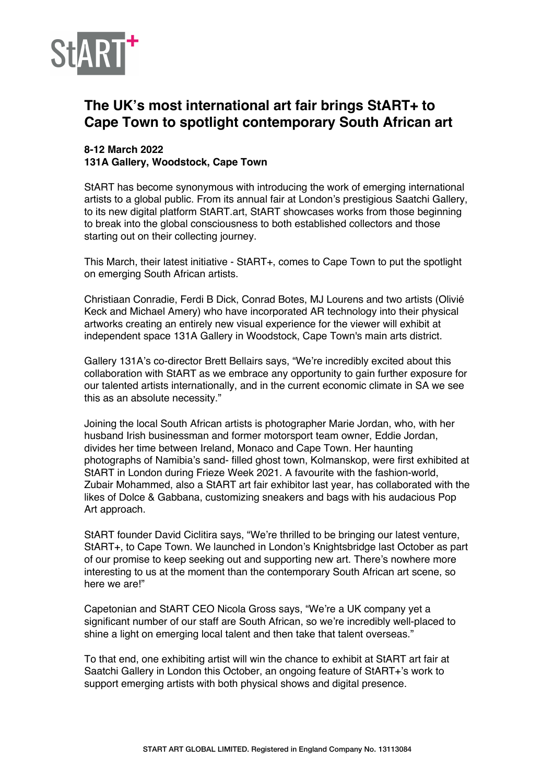

## **The UK's most international art fair brings StART+ to Cape Town to spotlight contemporary South African art**

## **8-12 March 2022 131A Gallery, Woodstock, Cape Town**

StART has become synonymous with introducing the work of emerging international artists to a global public. From its annual fair at London's prestigious Saatchi Gallery, to its new digital platform StART.art, StART showcases works from those beginning to break into the global consciousness to both established collectors and those starting out on their collecting journey.

This March, their latest initiative - StART+, comes to Cape Town to put the spotlight on emerging South African artists.

Christiaan Conradie, Ferdi B Dick, Conrad Botes, MJ Lourens and two artists (Olivié Keck and Michael Amery) who have incorporated AR technology into their physical artworks creating an entirely new visual experience for the viewer will exhibit at independent space 131A Gallery in Woodstock, Cape Town's main arts district.

Gallery 131A's co-director Brett Bellairs says, "We're incredibly excited about this collaboration with StART as we embrace any opportunity to gain further exposure for our talented artists internationally, and in the current economic climate in SA we see this as an absolute necessity."

Joining the local South African artists is photographer Marie Jordan, who, with her husband Irish businessman and former motorsport team owner, Eddie Jordan, divides her time between Ireland, Monaco and Cape Town. Her haunting photographs of Namibia's sand- filled ghost town, Kolmanskop, were first exhibited at StART in London during Frieze Week 2021. A favourite with the fashion-world, Zubair Mohammed, also a StART art fair exhibitor last year, has collaborated with the likes of Dolce & Gabbana, customizing sneakers and bags with his audacious Pop Art approach.

StART founder David Ciclitira says, "We're thrilled to be bringing our latest venture, StART+, to Cape Town. We launched in London's Knightsbridge last October as part of our promise to keep seeking out and supporting new art. There's nowhere more interesting to us at the moment than the contemporary South African art scene, so here we are!"

Capetonian and StART CEO Nicola Gross says, "We're a UK company yet a significant number of our staff are South African, so we're incredibly well-placed to shine a light on emerging local talent and then take that talent overseas."

To that end, one exhibiting artist will win the chance to exhibit at StART art fair at Saatchi Gallery in London this October, an ongoing feature of StART+'s work to support emerging artists with both physical shows and digital presence.